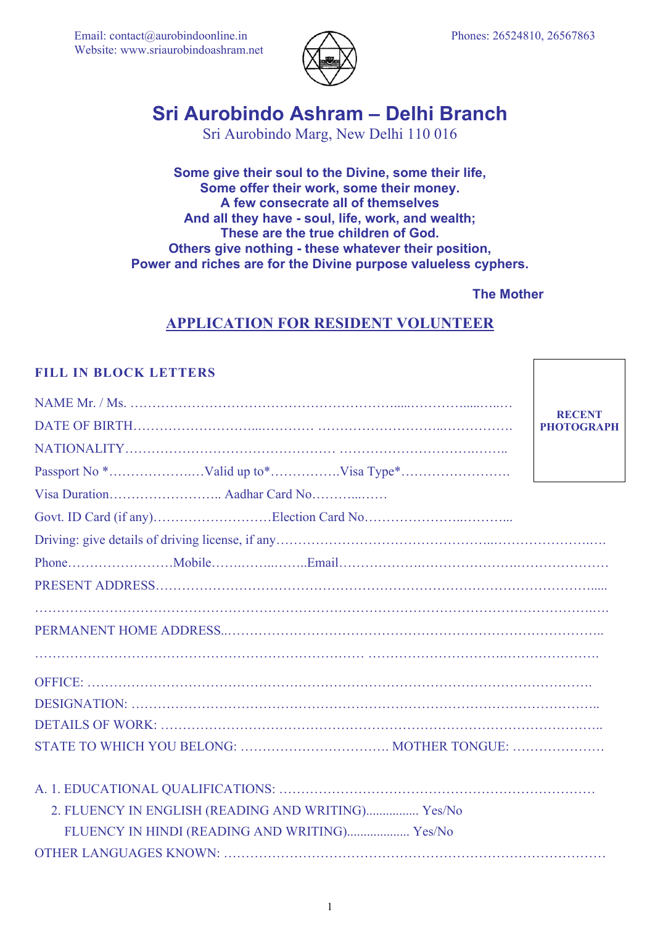

# **Sri Aurobindo Ashram – Delhi Branch**

Sri Aurobindo Marg, New Delhi 110 016

**Some give their soul to the Divine, some their life, Some offer their work, some their money. A few consecrate all of themselves And all they have - soul, life, work, and wealth; These are the true children of God. Others give nothing - these whatever their position, Power and riches are for the Divine purpose valueless cyphers.**

**The Mother** 

 $\Gamma$ 

# **APPLICATION FOR RESIDENT VOLUNTEER**

| <b>FILL IN BLOCK LETTERS</b>                       |                                    |
|----------------------------------------------------|------------------------------------|
|                                                    |                                    |
|                                                    | <b>RECENT</b><br><b>PHOTOGRAPH</b> |
|                                                    |                                    |
|                                                    |                                    |
|                                                    |                                    |
|                                                    |                                    |
|                                                    |                                    |
|                                                    |                                    |
|                                                    |                                    |
|                                                    |                                    |
|                                                    |                                    |
|                                                    |                                    |
|                                                    |                                    |
|                                                    |                                    |
|                                                    |                                    |
|                                                    |                                    |
|                                                    |                                    |
| 2. FLUENCY IN ENGLISH (READING AND WRITING) Yes/No |                                    |
| FLUENCY IN HINDI (READING AND WRITING) Yes/No      |                                    |
|                                                    |                                    |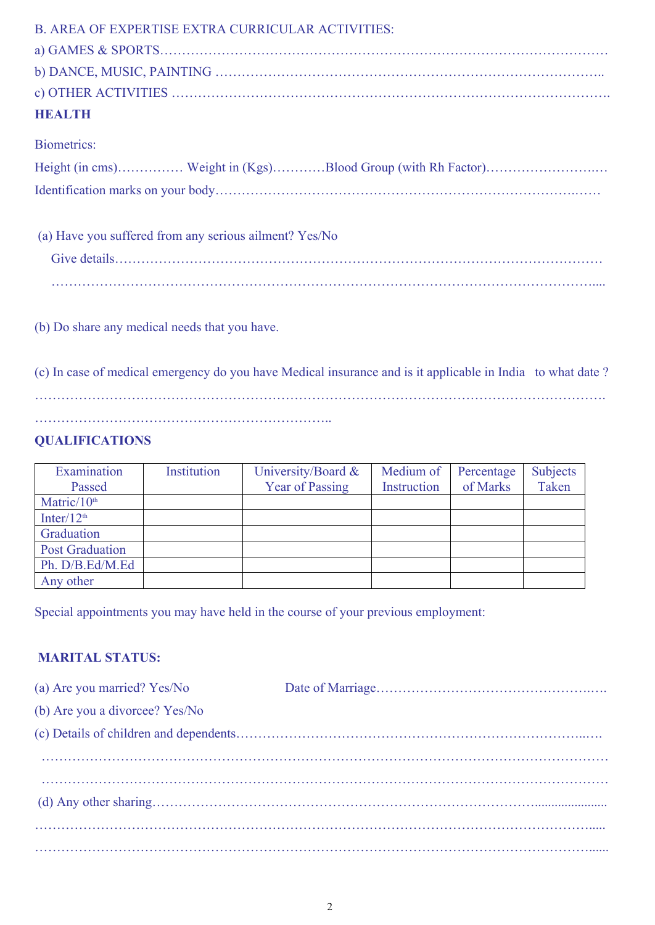#### B. AREA OF EXPERTISE EXTRA CURRICULAR ACTIVITIES:

| HEALTH |
|--------|

#### Biometrics:

|  | Height (in cms) Weight in (Kgs)Blood Group (with Rh Factor) |
|--|-------------------------------------------------------------|
|  |                                                             |

(a) Have you suffered from any serious ailment? Yes/No

| .<br>. |
|--------|

(b) Do share any medical needs that you have.

(c) In case of medical emergency do you have Medical insurance and is it applicable in India to what date ? ………………………………………………………………………………………………………………….

…………………………………………………………..

### **QUALIFICATIONS**

| Examination<br>Passed  | Institution | University/Board $\&$<br><b>Year of Passing</b> | Medium of<br>Instruction | Percentage<br>of Marks | <b>Subjects</b><br>Taken |
|------------------------|-------------|-------------------------------------------------|--------------------------|------------------------|--------------------------|
| Matric/ $10th$         |             |                                                 |                          |                        |                          |
| Inter/ $12th$          |             |                                                 |                          |                        |                          |
| Graduation             |             |                                                 |                          |                        |                          |
| <b>Post Graduation</b> |             |                                                 |                          |                        |                          |
| Ph. D/B.Ed/M.Ed        |             |                                                 |                          |                        |                          |
| Any other              |             |                                                 |                          |                        |                          |

Special appointments you may have held in the course of your previous employment:

### **MARITAL STATUS:**

| (a) Are you married? Yes/No    |  |
|--------------------------------|--|
| (b) Are you a divorcee? Yes/No |  |
|                                |  |
|                                |  |
|                                |  |
|                                |  |
|                                |  |
|                                |  |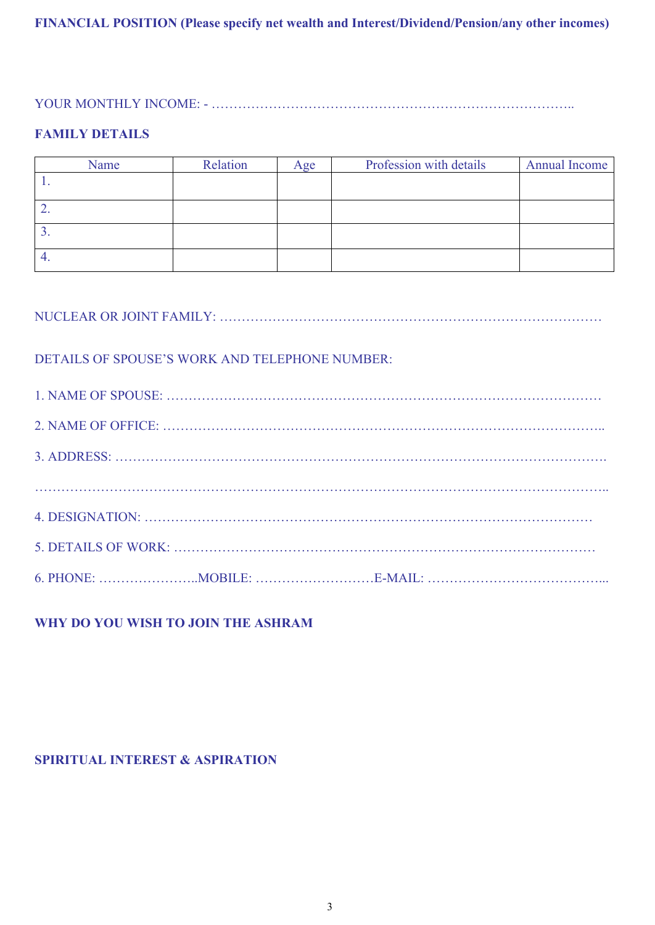## **FINANCIAL POSITION (Please specify net wealth and Interest/Dividend/Pension/any other incomes)**

YOUR MONTHLY INCOME: - ………………………………………………………………………..

#### **FAMILY DETAILS**

| Name     | Relation | Age | Profession with details | <b>Annual Income</b> |
|----------|----------|-----|-------------------------|----------------------|
| . .      |          |     |                         |                      |
| <u>.</u> |          |     |                         |                      |
| <u>.</u> |          |     |                         |                      |
| 4.       |          |     |                         |                      |

## NUCLEAR OR JOINT FAMILY: ……………………………………………………………………………

### DETAILS OF SPOUSE'S WORK AND TELEPHONE NUMBER:

**WHY DO YOU WISH TO JOIN THE ASHRAM**

#### **SPIRITUAL INTEREST & ASPIRATION**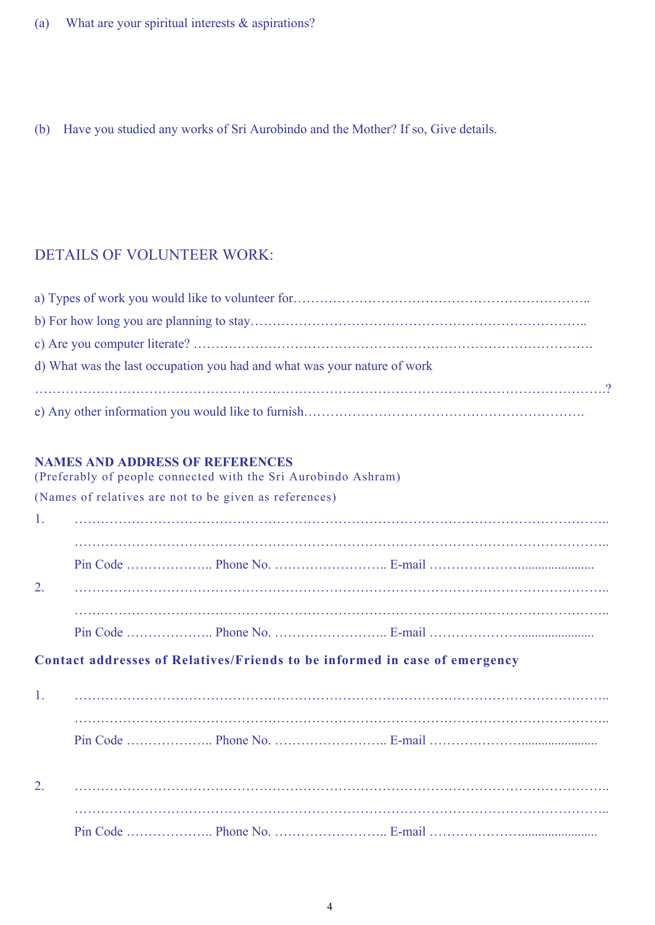- (a) What are your spiritual interests & aspirations?
- (b) Have you studied any works of Sri Aurobindo and the Mother? If so, Give details.

## DETAILS OF VOLUNTEER WORK:

| d) What was the last occupation you had and what was your nature of work |
|--------------------------------------------------------------------------|
|                                                                          |
|                                                                          |

#### **NAMES AND ADDRESS OF REFERENCES**

|    | (Preferably of people connected with the Sri Aurobindo Ashram) |                                                                            |  |
|----|----------------------------------------------------------------|----------------------------------------------------------------------------|--|
|    | (Names of relatives are not to be given as references)         |                                                                            |  |
| 1. |                                                                |                                                                            |  |
|    |                                                                |                                                                            |  |
|    |                                                                |                                                                            |  |
| 2. |                                                                |                                                                            |  |
|    |                                                                |                                                                            |  |
|    |                                                                |                                                                            |  |
|    |                                                                | Contact addresses of Relatives/Friends to be informed in case of emergency |  |
|    |                                                                |                                                                            |  |
| 1. |                                                                |                                                                            |  |
|    |                                                                |                                                                            |  |
|    |                                                                |                                                                            |  |
|    |                                                                |                                                                            |  |
| 2. |                                                                |                                                                            |  |
|    |                                                                |                                                                            |  |
|    |                                                                |                                                                            |  |